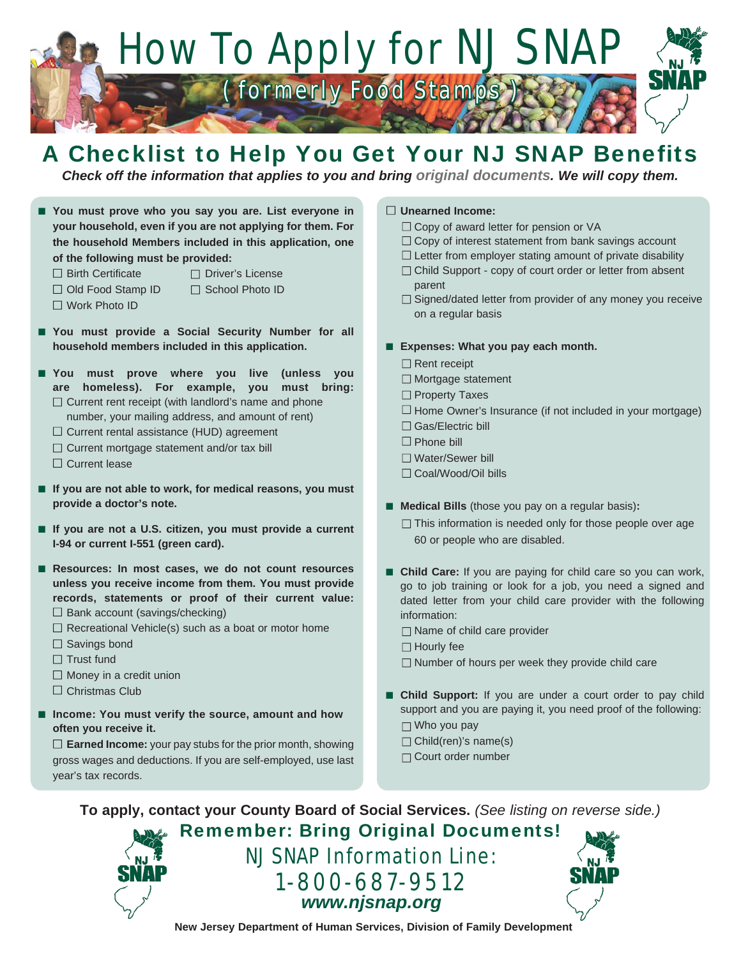

## A Checklist to Help You Get Your NJ SNAP Benefits

*Check off the information that applies to you and bring original documents. We will copy them.*

■ You must prove who you say you are. List everyone in **your household, even if you are not applying for them. For the household Members included in this application, one of the following must be provided:**

- □ Birth Certificate Diver's License
- □ Old Food Stamp ID □ School Photo ID
- 
- □ Work Photo ID
- 
- You must provide a Social Security Number for all **household members included in this application.**
- You must prove where you live (unless you **are homeless). For example, you must bring:**   $\Box$  Current rent receipt (with landlord's name and phone number, your mailing address, and amount of rent)
	- $\Box$  Current rental assistance (HUD) agreement
	- $\Box$  Current mortgage statement and/or tax bill
	- $\Box$  Current lease
- If you are not able to work, for medical reasons, you must **provide a doctor's note.**
- If you are not a U.S. citizen, you must provide a current **I-94 or current I-551 (green card).**
- Resources: In most cases, we do not count resources **unless you receive income from them. You must provide records, statements or proof of their current value:**  $\square$  Bank account (savings/checking)
	- $\Box$  Recreational Vehicle(s) such as a boat or motor home
	- $\Box$  Savings bond
	- $\Box$  Trust fund
	- $\Box$  Money in a credit union
	- □ Christmas Club
- Income: You must verify the source, amount and how **often you receive it.**

 **Earned Income:** your pay stubs for the prior month, showing gross wages and deductions. If you are self-employed, use last year's tax records.

## **Unearned Income:**

- $\Box$  Copy of award letter for pension or VA
- $\Box$  Copy of interest statement from bank savings account
- $\Box$  Letter from employer stating amount of private disability
- □ Child Support copy of court order or letter from absent parent
- $\Box$  Signed/dated letter from provider of any money you receive on a regular basis

## ■ Expenses: What you pay each month.

- □ Rent receipt
- $\Box$  Mortgage statement
- □ Property Taxes
- $\Box$  Home Owner's Insurance (if not included in your mortgage)
- □ Gas/Electric bill
- $\square$  Phone bill
- Water/Sewer bill
- □ Coal/Wood/Oil bills
- **Medical Bills** (those you pay on a regular basis):
	- $\Box$  This information is needed only for those people over age 60 or people who are disabled.
- **Child Care:** If you are paying for child care so you can work, go to job training or look for a job, you need a signed and dated letter from your child care provider with the following information:
	- □ Name of child care provider
	- $\Box$  Hourly fee
	- $\Box$  Number of hours per week they provide child care
- Child Support: If you are under a court order to pay child support and you are paying it, you need proof of the following:
	- □ Who you pay
	- $\Box$  Child(ren)'s name(s)
	- Court order number

**To apply, contact your County Board of Social Services.** *(See listing on reverse side.)*

Remember: Bring Original Documents! NJ SNAP Information Line: 1-800-687-9512 *www.njsnap.org*



**New Jersey Department of Human Services, Division of Family Development**